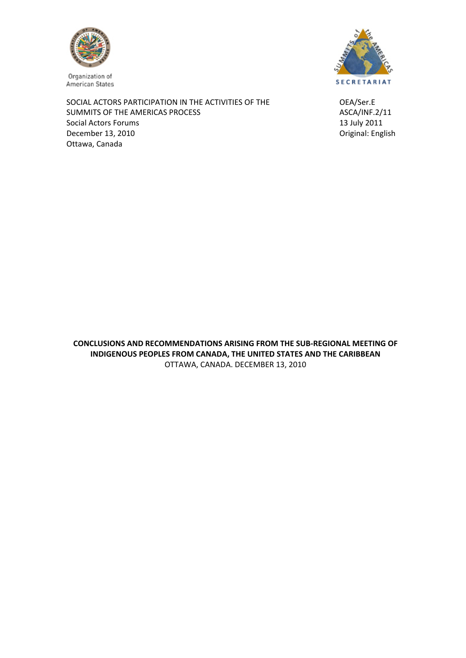

Organization of American States

SOCIAL ACTORS PARTICIPATION IN THE ACTIVITIES OF THE **SOCIAL ACTORS PARTICIPATION** IN THE ACTIVITIES OF THE SUMMITS OF THE AMERICAS PROCESS **SUMMITS OF THE AMERICAS PROCESS** Social Actors Forums **and Social Actors Forums 13 July 2011** December 13, 2010 **December 13, 2010 December 13, 2010** Ottawa, Canada



**CONCLUSIONS AND RECOMMENDATIONS ARISING FROM THE SUB‐REGIONAL MEETING OF INDIGENOUS PEOPLES FROM CANADA, THE UNITED STATES AND THE CARIBBEAN**  OTTAWA, CANADA. DECEMBER 13, 2010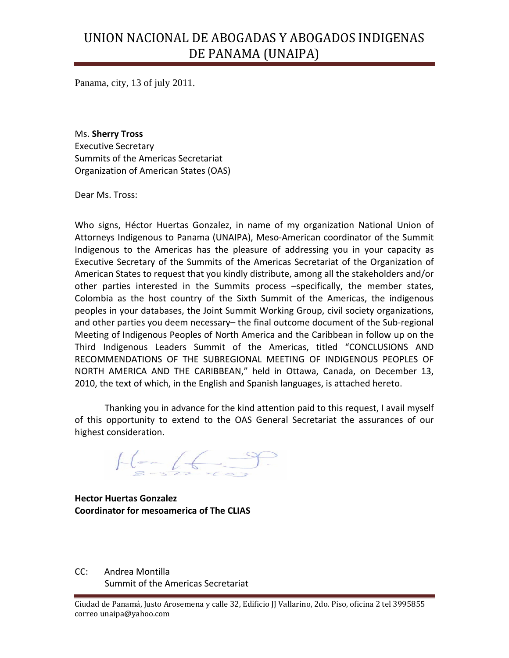# UNION NACIONAL DE ABOGADAS Y ABOGADOS INDIGENAS DE PANAMA (UNAIPA)

Panama, city, 13 of july 2011.

Ms. **Sherry Tross** Executive Secretary Summits of the Americas Secretariat Organization of American States (OAS)

Dear Ms. Tross:

Who signs, Héctor Huertas Gonzalez, in name of my organization National Union of Attorneys Indigenous to Panama (UNAIPA), Meso‐American coordinator of the Summit Indigenous to the Americas has the pleasure of addressing you in your capacity as Executive Secretary of the Summits of the Americas Secretariat of the Organization of American States to request that you kindly distribute, among all the stakeholders and/or other parties interested in the Summits process –specifically, the member states, Colombia as the host country of the Sixth Summit of the Americas, the indigenous peoples in your databases, the Joint Summit Working Group, civil society organizations, and other parties you deem necessary– the final outcome document of the Sub‐regional Meeting of Indigenous Peoples of North America and the Caribbean in follow up on the Third Indigenous Leaders Summit of the Americas, titled "CONCLUSIONS AND RECOMMENDATIONS OF THE SUBREGIONAL MEETING OF INDIGENOUS PEOPLES OF NORTH AMERICA AND THE CARIBBEAN," held in Ottawa, Canada, on December 13, 2010, the text of which, in the English and Spanish languages, is attached hereto.

Thanking you in advance for the kind attention paid to this request, I avail myself of this opportunity to extend to the OAS General Secretariat the assurances of our highest consideration.

 $H = 69$ 

**Hector Huertas Gonzalez Coordinator for mesoamerica of The CLIAS**

CC: Andrea Montilla Summit of the Americas Secretariat

Ciudad de Panamá, Justo Arosemena y calle 32, Edificio JJ Vallarino, 2do. Piso, oficina 2 tel 3995855 correo unaipa@yahoo.com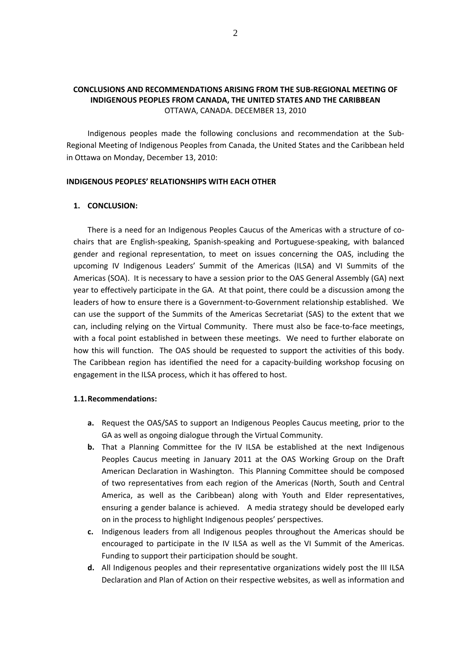# **CONCLUSIONS AND RECOMMENDATIONS ARISING FROM THE SUB‐REGIONAL MEETING OF INDIGENOUS PEOPLES FROM CANADA, THE UNITED STATES AND THE CARIBBEAN**  OTTAWA, CANADA. DECEMBER 13, 2010

Indigenous peoples made the following conclusions and recommendation at the Sub‐ Regional Meeting of Indigenous Peoples from Canada, the United States and the Caribbean held in Ottawa on Monday, December 13, 2010:

#### **INDIGENOUS PEOPLES' RELATIONSHIPS WITH EACH OTHER**

#### **1. CONCLUSION:**

There is a need for an Indigenous Peoples Caucus of the Americas with a structure of co‐ chairs that are English‐speaking, Spanish‐speaking and Portuguese‐speaking, with balanced gender and regional representation, to meet on issues concerning the OAS, including the upcoming IV Indigenous Leaders' Summit of the Americas (ILSA) and VI Summits of the Americas (SOA). It is necessary to have a session prior to the OAS General Assembly (GA) next year to effectively participate in the GA. At that point, there could be a discussion among the leaders of how to ensure there is a Government-to-Government relationship established. We can use the support of the Summits of the Americas Secretariat (SAS) to the extent that we can, including relying on the Virtual Community. There must also be face‐to‐face meetings, with a focal point established in between these meetings. We need to further elaborate on how this will function. The OAS should be requested to support the activities of this body. The Caribbean region has identified the need for a capacity‐building workshop focusing on engagement in the ILSA process, which it has offered to host.

#### **1.1.Recommendations:**

- **a.** Request the OAS/SAS to support an Indigenous Peoples Caucus meeting, prior to the GA as well as ongoing dialogue through the Virtual Community.
- **b.** That a Planning Committee for the IV ILSA be established at the next Indigenous Peoples Caucus meeting in January 2011 at the OAS Working Group on the Draft American Declaration in Washington. This Planning Committee should be composed of two representatives from each region of the Americas (North, South and Central America, as well as the Caribbean) along with Youth and Elder representatives, ensuring a gender balance is achieved. A media strategy should be developed early on in the process to highlight Indigenous peoples' perspectives.
- **c.** Indigenous leaders from all Indigenous peoples throughout the Americas should be encouraged to participate in the IV ILSA as well as the VI Summit of the Americas. Funding to support their participation should be sought.
- **d.** All Indigenous peoples and their representative organizations widely post the III ILSA Declaration and Plan of Action on their respective websites, as well as information and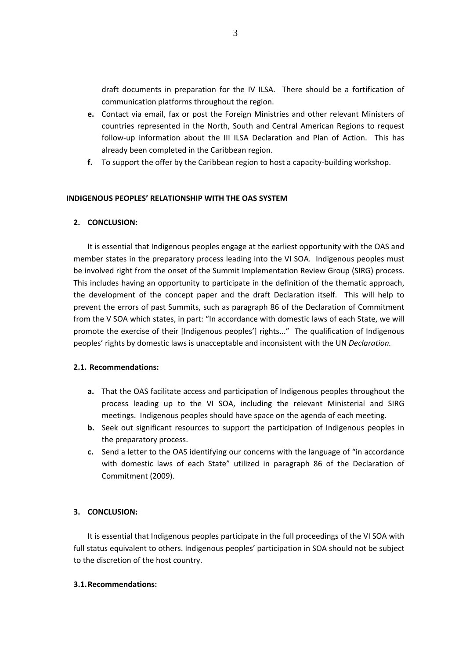draft documents in preparation for the IV ILSA. There should be a fortification of communication platforms throughout the region.

- **e.** Contact via email, fax or post the Foreign Ministries and other relevant Ministers of countries represented in the North, South and Central American Regions to request follow-up information about the III ILSA Declaration and Plan of Action. This has already been completed in the Caribbean region.
- **f.** To support the offer by the Caribbean region to host a capacity-building workshop.

## **INDIGENOUS PEOPLES' RELATIONSHIP WITH THE OAS SYSTEM**

## **2. CONCLUSION:**

It is essential that Indigenous peoples engage at the earliest opportunity with the OAS and member states in the preparatory process leading into the VI SOA. Indigenous peoples must be involved right from the onset of the Summit Implementation Review Group (SIRG) process. This includes having an opportunity to participate in the definition of the thematic approach, the development of the concept paper and the draft Declaration itself. This will help to prevent the errors of past Summits, such as paragraph 86 of the Declaration of Commitment from the V SOA which states, in part: "In accordance with domestic laws of each State, we will promote the exercise of their [Indigenous peoples'] rights..." The qualification of Indigenous peoples' rights by domestic laws is unacceptable and inconsistent with the UN *Declaration.*

## **2.1. Recommendations:**

- **a.** That the OAS facilitate access and participation of Indigenous peoples throughout the process leading up to the VI SOA, including the relevant Ministerial and SIRG meetings. Indigenous peoples should have space on the agenda of each meeting.
- **b.** Seek out significant resources to support the participation of Indigenous peoples in the preparatory process.
- **c.** Send a letter to the OAS identifying our concerns with the language of "in accordance with domestic laws of each State" utilized in paragraph 86 of the Declaration of Commitment (2009).

## **3. CONCLUSION:**

It is essential that Indigenous peoples participate in the full proceedings of the VI SOA with full status equivalent to others. Indigenous peoples' participation in SOA should not be subject to the discretion of the host country.

## **3.1.Recommendations:**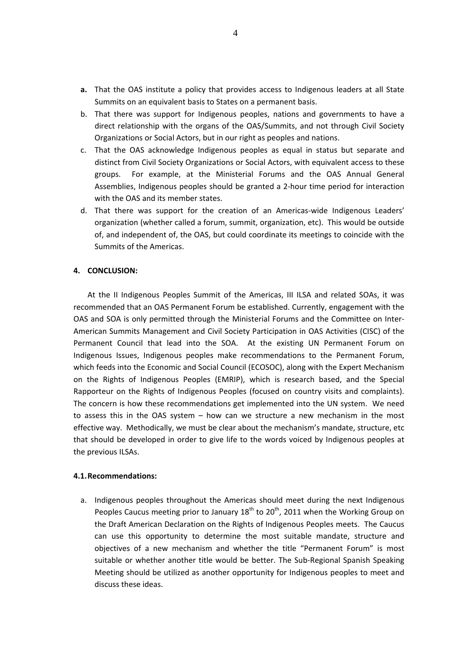- **a.** That the OAS institute a policy that provides access to Indigenous leaders at all State Summits on an equivalent basis to States on a permanent basis.
- b. That there was support for Indigenous peoples, nations and governments to have a direct relationship with the organs of the OAS/Summits, and not through Civil Society Organizations or Social Actors, but in our right as peoples and nations.
- c. That the OAS acknowledge Indigenous peoples as equal in status but separate and distinct from Civil Society Organizations or Social Actors, with equivalent access to these groups. For example, at the Ministerial Forums and the OAS Annual General Assemblies, Indigenous peoples should be granted a 2‐hour time period for interaction with the OAS and its member states.
- d. That there was support for the creation of an Americas-wide Indigenous Leaders' organization (whether called a forum, summit, organization, etc). This would be outside of, and independent of, the OAS, but could coordinate its meetings to coincide with the Summits of the Americas.

#### **4. CONCLUSION:**

At the II Indigenous Peoples Summit of the Americas, III ILSA and related SOAs, it was recommended that an OAS Permanent Forum be established. Currently, engagement with the OAS and SOA is only permitted through the Ministerial Forums and the Committee on Inter‐ American Summits Management and Civil Society Participation in OAS Activities (CISC) of the Permanent Council that lead into the SOA. At the existing UN Permanent Forum on Indigenous Issues, Indigenous peoples make recommendations to the Permanent Forum, which feeds into the Economic and Social Council (ECOSOC), along with the Expert Mechanism on the Rights of Indigenous Peoples (EMRIP), which is research based, and the Special Rapporteur on the Rights of Indigenous Peoples (focused on country visits and complaints). The concern is how these recommendations get implemented into the UN system. We need to assess this in the OAS system – how can we structure a new mechanism in the most effective way. Methodically, we must be clear about the mechanism's mandate, structure, etc that should be developed in order to give life to the words voiced by Indigenous peoples at the previous ILSAs.

#### **4.1.Recommendations:**

a. Indigenous peoples throughout the Americas should meet during the next Indigenous Peoples Caucus meeting prior to January  $18^{th}$  to  $20^{th}$ , 2011 when the Working Group on the Draft American Declaration on the Rights of Indigenous Peoples meets. The Caucus can use this opportunity to determine the most suitable mandate, structure and objectives of a new mechanism and whether the title "Permanent Forum" is most suitable or whether another title would be better. The Sub‐Regional Spanish Speaking Meeting should be utilized as another opportunity for Indigenous peoples to meet and discuss these ideas.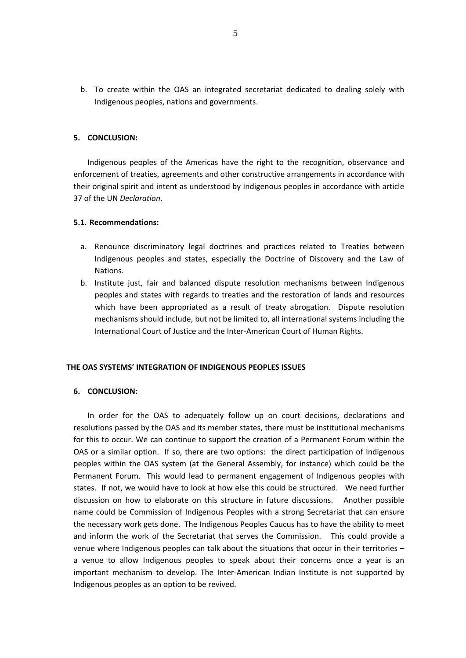b. To create within the OAS an integrated secretariat dedicated to dealing solely with Indigenous peoples, nations and governments.

#### **5. CONCLUSION:**

Indigenous peoples of the Americas have the right to the recognition, observance and enforcement of treaties, agreements and other constructive arrangements in accordance with their original spirit and intent as understood by Indigenous peoples in accordance with article 37 of the UN *Declaration*.

#### **5.1. Recommendations:**

- a. Renounce discriminatory legal doctrines and practices related to Treaties between Indigenous peoples and states, especially the Doctrine of Discovery and the Law of Nations.
- b. Institute just, fair and balanced dispute resolution mechanisms between Indigenous peoples and states with regards to treaties and the restoration of lands and resources which have been appropriated as a result of treaty abrogation. Dispute resolution mechanisms should include, but not be limited to, all international systems including the International Court of Justice and the Inter‐American Court of Human Rights.

#### **THE OAS SYSTEMS' INTEGRATION OF INDIGENOUS PEOPLES ISSUES**

#### **6. CONCLUSION:**

In order for the OAS to adequately follow up on court decisions, declarations and resolutions passed by the OAS and its member states, there must be institutional mechanisms for this to occur. We can continue to support the creation of a Permanent Forum within the OAS or a similar option. If so, there are two options: the direct participation of Indigenous peoples within the OAS system (at the General Assembly, for instance) which could be the Permanent Forum. This would lead to permanent engagement of Indigenous peoples with states. If not, we would have to look at how else this could be structured. We need further discussion on how to elaborate on this structure in future discussions. Another possible name could be Commission of Indigenous Peoples with a strong Secretariat that can ensure the necessary work gets done. The Indigenous Peoples Caucus has to have the ability to meet and inform the work of the Secretariat that serves the Commission. This could provide a venue where Indigenous peoples can talk about the situations that occur in their territories – a venue to allow Indigenous peoples to speak about their concerns once a year is an important mechanism to develop. The Inter-American Indian Institute is not supported by Indigenous peoples as an option to be revived.